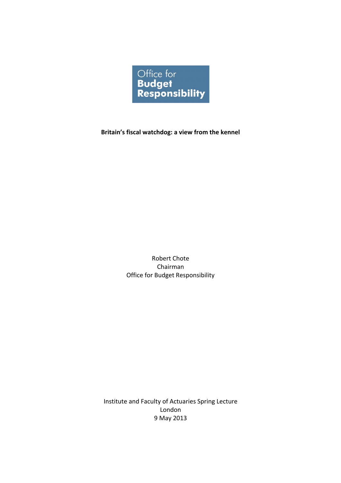

**Britain's fiscal watchdog: a view from the kennel**

Robert Chote Chairman Office for Budget Responsibility

Institute and Faculty of Actuaries Spring Lecture London 9 May 2013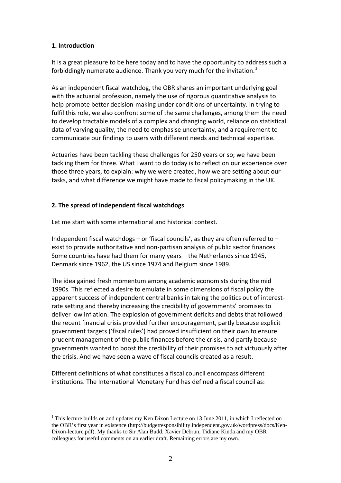### **1. Introduction**

 $\overline{a}$ 

It is a great pleasure to be here today and to have the opportunity to address such a forbiddingly numerate audience. Thank you very much for the invitation. $<sup>1</sup>$  $<sup>1</sup>$  $<sup>1</sup>$ </sup>

As an independent fiscal watchdog, the OBR shares an important underlying goal with the actuarial profession, namely the use of rigorous quantitative analysis to help promote better decision-making under conditions of uncertainty. In trying to fulfil this role, we also confront some of the same challenges, among them the need to develop tractable models of a complex and changing world, reliance on statistical data of varying quality, the need to emphasise uncertainty, and a requirement to communicate our findings to users with different needs and technical expertise.

Actuaries have been tackling these challenges for 250 years or so; we have been tackling them for three. What I want to do today is to reflect on our experience over those three years, to explain: why we were created, how we are setting about our tasks, and what difference we might have made to fiscal policymaking in the UK.

### **2. The spread of independent fiscal watchdogs**

Let me start with some international and historical context.

Independent fiscal watchdogs – or 'fiscal councils', as they are often referred to – exist to provide authoritative and non‐partisan analysis of public sector finances. Some countries have had them for many years – the Netherlands since 1945, Denmark since 1962, the US since 1974 and Belgium since 1989.

The idea gained fresh momentum among academic economists during the mid 1990s. This reflected a desire to emulate in some dimensions of fiscal policy the apparent success of independent central banks in taking the politics out of interestrate setting and thereby increasing the credibility of governments' promises to deliver low inflation. The explosion of government deficits and debts that followed the recent financial crisis provided further encouragement, partly because explicit government targets ('fiscal rules') had proved insufficient on their own to ensure prudent management of the public finances before the crisis, and partly because governments wanted to boost the credibility of their promises to act virtuously after the crisis. And we have seen a wave of fiscal councils created as a result.

Different definitions of what constitutes a fiscal council encompass different institutions. The International Monetary Fund has defined a fiscal council as:

<span id="page-1-0"></span><sup>&</sup>lt;sup>1</sup> This lecture builds on and updates my Ken Dixon Lecture on 13 June 2011, in which I reflected on the OBR's first year in existence (http://budgetresponsibility.independent.gov.uk/wordpress/docs/Ken-Dixon-lecture.pdf). My thanks to Sir Alan Budd, Xavier Debrun, Tidiane Kinda and my OBR colleagues for useful comments on an earlier draft. Remaining errors are my own.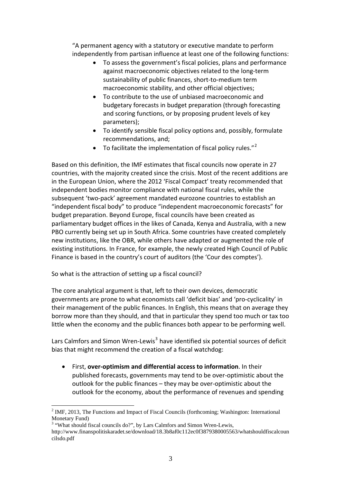"A permanent agency with a statutory or executive mandate to perform independently from partisan influence at least one of the following functions:

- To assess the government's fiscal policies, plans and performance against macroeconomic objectives related to the long‐term sustainability of public finances, short‐to‐medium term macroeconomic stability, and other official objectives;
- To contribute to the use of unbiased macroeconomic and budgetary forecasts in budget preparation (through forecasting and scoring functions, or by proposing prudent levels of key parameters);
- To identify sensible fiscal policy options and, possibly, formulate recommendations, and;
- $\bullet$  To facilitate the implementation of fiscal policy rules."<sup>[2](#page-2-0)</sup>

Based on this definition, the IMF estimates that fiscal councils now operate in 27 countries, with the majority created since the crisis. Most of the recent additions are in the European Union, where the 2012 'Fiscal Compact' treaty recommended that independent bodies monitor compliance with national fiscal rules, while the subsequent 'two-pack' agreement mandated eurozone countries to establish an "independent fiscal body" to produce "independent macroeconomic forecasts" for budget preparation. Beyond Europe, fiscal councils have been created as parliamentary budget offices in the likes of Canada, Kenya and Australia, with a new PBO currently being set up in South Africa. Some countries have created completely new institutions, like the OBR, while others have adapted or augmented the role of existing institutions. In France, for example, the newly created High Council of Public Finance is based in the country's court of auditors (the 'Cour des comptes').

So what is the attraction of setting up a fiscal council?

 $\overline{a}$ 

The core analytical argument is that, left to their own devices, democratic governments are prone to what economists call 'deficit bias' and 'pro‐cyclicality' in their management of the public finances. In English, this means that on average they borrow more than they should, and that in particular they spend too much or tax too little when the economy and the public finances both appear to be performing well.

Lars Calmfors and Simon Wren-Lewis<sup>[3](#page-2-1)</sup> have identified six potential sources of deficit bias that might recommend the creation of a fiscal watchdog:

 First, **over‐optimism and differential access to information**. In their published forecasts, governments may tend to be over‐optimistic about the outlook for the public finances – they may be over‐optimistic about the outlook for the economy, about the performance of revenues and spending

<span id="page-2-0"></span> $2$  IMF, 2013, The Functions and Impact of Fiscal Councils (forthcoming; Washington: International Monetary Fund)

<span id="page-2-1"></span><sup>&</sup>lt;sup>3</sup> "What should fiscal councils do?", by Lars Calmfors and Simon Wren-Lewis, http://www.finanspolitiskaradet.se/download/18.3b8af0c112ec0f3879380005563/whatshouldfiscalcoun cilsdo.pdf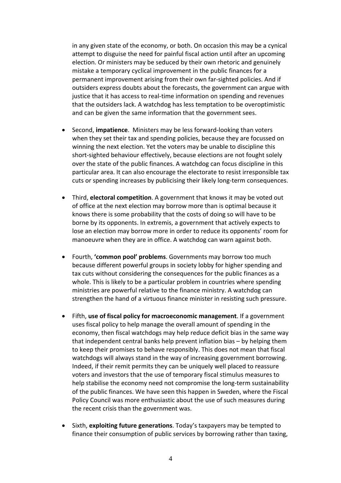in any given state of the economy, or both. On occasion this may be a cynical attempt to disguise the need for painful fiscal action until after an upcoming election. Or ministers may be seduced by their own rhetoric and genuinely mistake a temporary cyclical improvement in the public finances for a permanent improvement arising from their own far-sighted policies. And if outsiders express doubts about the forecasts, the government can argue with justice that it has access to real-time information on spending and revenues that the outsiders lack. A watchdog has less temptation to be overoptimistic and can be given the same information that the government sees.

- Second, **impatience**. Ministers may be less forward‐looking than voters when they set their tax and spending policies, because they are focussed on winning the next election. Yet the voters may be unable to discipline this short-sighted behaviour effectively, because elections are not fought solely over the state of the public finances. A watchdog can focus discipline in this particular area. It can also encourage the electorate to resist irresponsible tax cuts or spending increases by publicising their likely long‐term consequences.
- Third, **electoral competition**. A government that knows it may be voted out of office at the next election may borrow more than is optimal because it knows there is some probability that the costs of doing so will have to be borne by its opponents. In extremis, a government that actively expects to lose an election may borrow more in order to reduce its opponents' room for manoeuvre when they are in office. A watchdog can warn against both.
- Fourth, **'common pool' problems**. Governments may borrow too much because different powerful groups in society lobby for higher spending and tax cuts without considering the consequences for the public finances as a whole. This is likely to be a particular problem in countries where spending ministries are powerful relative to the finance ministry. A watchdog can strengthen the hand of a virtuous finance minister in resisting such pressure.
- Fifth, **use of fiscal policy for macroeconomic management**. If a government uses fiscal policy to help manage the overall amount of spending in the economy, then fiscal watchdogs may help reduce deficit bias in the same way that independent central banks help prevent inflation bias – by helping them to keep their promises to behave responsibly. This does not mean that fiscal watchdogs will always stand in the way of increasing government borrowing. Indeed, if their remit permits they can be uniquely well placed to reassure voters and investors that the use of temporary fiscal stimulus measures to help stabilise the economy need not compromise the long-term sustainability of the public finances. We have seen this happen in Sweden, where the Fiscal Policy Council was more enthusiastic about the use of such measures during the recent crisis than the government was.
- Sixth, **exploiting future generations**. Today's taxpayers may be tempted to finance their consumption of public services by borrowing rather than taxing,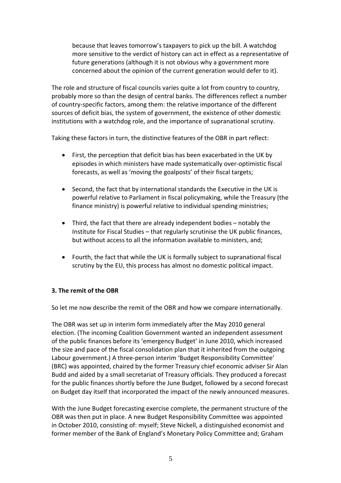because that leaves tomorrow's taxpayers to pick up the bill. A watchdog more sensitive to the verdict of history can act in effect as a representative of future generations (although it is not obvious why a government more concerned about the opinion of the current generation would defer to it).

The role and structure of fiscal councils varies quite a lot from country to country, probably more so than the design of central banks. The differences reflect a number of country‐specific factors, among them: the relative importance of the different sources of deficit bias, the system of government, the existence of other domestic institutions with a watchdog role, and the importance of supranational scrutiny.

Taking these factors in turn, the distinctive features of the OBR in part reflect:

- First, the perception that deficit bias has been exacerbated in the UK by episodes in which ministers have made systematically over‐optimistic fiscal forecasts, as well as 'moving the goalposts' of their fiscal targets;
- Second, the fact that by international standards the Executive in the UK is powerful relative to Parliament in fiscal policymaking, while the Treasury (the finance ministry) is powerful relative to individual spending ministries;
- Third, the fact that there are already independent bodies notably the Institute for Fiscal Studies – that regularly scrutinise the UK public finances, but without access to all the information available to ministers, and;
- Fourth, the fact that while the UK is formally subject to supranational fiscal scrutiny by the EU, this process has almost no domestic political impact.

### **3. The remit of the OBR**

So let me now describe the remit of the OBR and how we compare internationally.

The OBR was set up in interim form immediately after the May 2010 general election. (The incoming Coalition Government wanted an independent assessment of the public finances before its 'emergency Budget' in June 2010, which increased the size and pace of the fiscal consolidation plan that it inherited from the outgoing Labour government.) A three-person interim 'Budget Responsibility Committee' (BRC) was appointed, chaired by the former Treasury chief economic adviser Sir Alan Budd and aided by a small secretariat of Treasury officials. They produced a forecast for the public finances shortly before the June Budget, followed by a second forecast on Budget day itself that incorporated the impact of the newly announced measures.

With the June Budget forecasting exercise complete, the permanent structure of the OBR was then put in place. A new Budget Responsibility Committee was appointed in October 2010, consisting of: myself; Steve Nickell, a distinguished economist and former member of the Bank of England's Monetary Policy Committee and; Graham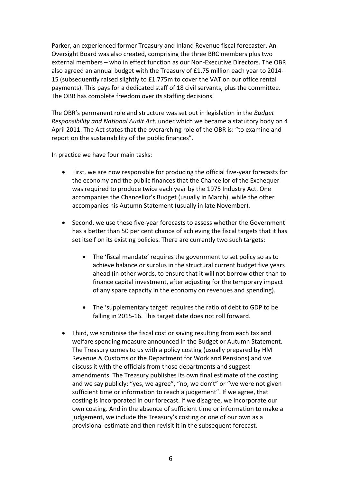Parker, an experienced former Treasury and Inland Revenue fiscal forecaster. An Oversight Board was also created, comprising the three BRC members plus two external members – who in effect function as our Non‐Executive Directors. The OBR also agreed an annual budget with the Treasury of £1.75 million each year to 2014‐ 15 (subsequently raised slightly to £1.775m to cover the VAT on our office rental payments). This pays for a dedicated staff of 18 civil servants, plus the committee. The OBR has complete freedom over its staffing decisions.

The OBR's permanent role and structure was set out in legislation in the *Budget Responsibility and National Audit Act,* under which we became a statutory body on 4 April 2011. The Act states that the overarching role of the OBR is: "to examine and report on the sustainability of the public finances".

In practice we have four main tasks:

- First, we are now responsible for producing the official five-year forecasts for the economy and the public finances that the Chancellor of the Exchequer was required to produce twice each year by the 1975 Industry Act. One accompanies the Chancellor's Budget (usually in March), while the other accompanies his Autumn Statement (usually in late November).
- Second, we use these five-year forecasts to assess whether the Government has a better than 50 per cent chance of achieving the fiscal targets that it has set itself on its existing policies. There are currently two such targets:
	- The 'fiscal mandate' requires the government to set policy so as to achieve balance or surplus in the structural current budget five years ahead (in other words, to ensure that it will not borrow other than to finance capital investment, after adjusting for the temporary impact of any spare capacity in the economy on revenues and spending).
	- The 'supplementary target' requires the ratio of debt to GDP to be falling in 2015‐16. This target date does not roll forward.
- Third, we scrutinise the fiscal cost or saving resulting from each tax and welfare spending measure announced in the Budget or Autumn Statement. The Treasury comes to us with a policy costing (usually prepared by HM Revenue & Customs or the Department for Work and Pensions) and we discuss it with the officials from those departments and suggest amendments. The Treasury publishes its own final estimate of the costing and we say publicly: "yes, we agree", "no, we don't" or "we were not given sufficient time or information to reach a judgement". If we agree, that costing is incorporated in our forecast. If we disagree, we incorporate our own costing. And in the absence of sufficient time or information to make a judgement, we include the Treasury's costing or one of our own as a provisional estimate and then revisit it in the subsequent forecast.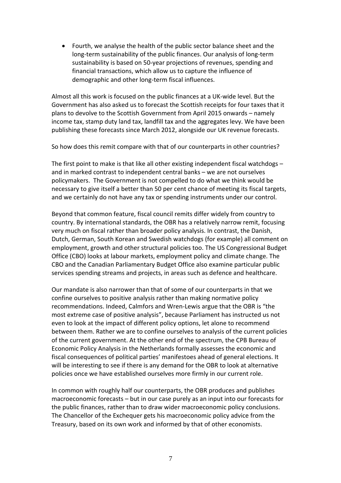Fourth, we analyse the health of the public sector balance sheet and the long‐term sustainability of the public finances. Our analysis of long‐term sustainability is based on 50‐year projections of revenues, spending and financial transactions, which allow us to capture the influence of demographic and other long‐term fiscal influences.

Almost all this work is focused on the public finances at a UK‐wide level. But the Government has also asked us to forecast the Scottish receipts for four taxes that it plans to devolve to the Scottish Government from April 2015 onwards – namely income tax, stamp duty land tax, landfill tax and the aggregates levy. We have been publishing these forecasts since March 2012, alongside our UK revenue forecasts.

So how does this remit compare with that of our counterparts in other countries?

The first point to make is that like all other existing independent fiscal watchdogs – and in marked contrast to independent central banks – we are not ourselves policymakers. The Government is not compelled to do what we think would be necessary to give itself a better than 50 per cent chance of meeting its fiscal targets, and we certainly do not have any tax or spending instruments under our control.

Beyond that common feature, fiscal council remits differ widely from country to country. By international standards, the OBR has a relatively narrow remit, focusing very much on fiscal rather than broader policy analysis. In contrast, the Danish, Dutch, German, South Korean and Swedish watchdogs (for example) all comment on employment, growth and other structural policies too. The US Congressional Budget Office (CBO) looks at labour markets, employment policy and climate change. The CBO and the Canadian Parliamentary Budget Office also examine particular public services spending streams and projects, in areas such as defence and healthcare.

Our mandate is also narrower than that of some of our counterparts in that we confine ourselves to positive analysis rather than making normative policy recommendations. Indeed, Calmfors and Wren‐Lewis argue that the OBR is "the most extreme case of positive analysis", because Parliament has instructed us not even to look at the impact of different policy options, let alone to recommend between them. Rather we are to confine ourselves to analysis of the current policies of the current government. At the other end of the spectrum, the CPB Bureau of Economic Policy Analysis in the Netherlands formally assesses the economic and fiscal consequences of political parties' manifestoes ahead of general elections. It will be interesting to see if there is any demand for the OBR to look at alternative policies once we have established ourselves more firmly in our current role.

In common with roughly half our counterparts, the OBR produces and publishes macroeconomic forecasts – but in our case purely as an input into our forecasts for the public finances, rather than to draw wider macroeconomic policy conclusions. The Chancellor of the Exchequer gets his macroeconomic policy advice from the Treasury, based on its own work and informed by that of other economists.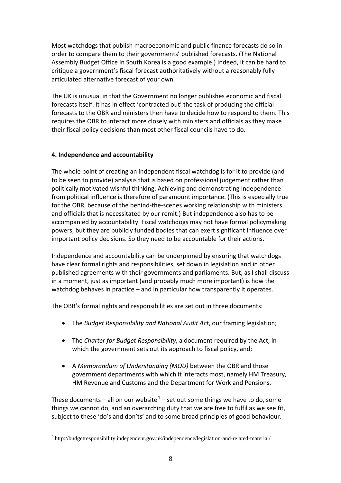Most watchdogs that publish macroeconomic and public finance forecasts do so in order to compare them to their governments' published forecasts. (The National Assembly Budget Office in South Korea is a good example.) Indeed, it can be hard to critique a government's fiscal forecast authoritatively without a reasonably fully articulated alternative forecast of your own.

The UK is unusual in that the Government no longer publishes economic and fiscal forecasts itself. It has in effect 'contracted out' the task of producing the official forecasts to the OBR and ministers then have to decide how to respond to them. This requires the OBR to interact more closely with ministers and officials as they make their fiscal policy decisions than most other fiscal councils have to do.

### **4. Independence and accountability**

 $\overline{a}$ 

The whole point of creating an independent fiscal watchdog is for it to provide (and to be seen to provide) analysis that is based on professional judgement rather than politically motivated wishful thinking. Achieving and demonstrating independence from political influence is therefore of paramount importance. (This is especially true for the OBR, because of the behind-the-scenes working relationship with ministers and officials that is necessitated by our remit.) But independence also has to be accompanied by accountability. Fiscal watchdogs may not have formal policymaking powers, but they are publicly funded bodies that can exert significant influence over important policy decisions. So they need to be accountable for their actions.

Independence and accountability can be underpinned by ensuring that watchdogs have clear formal rights and responsibilities, set down in legislation and in other published agreements with their governments and parliaments. But, as I shall discuss in a moment, just as important (and probably much more important) is how the watchdog behaves in practice – and in particular how transparently it operates.

The OBR's formal rights and responsibilities are set out in three documents:

- The *Budget Responsibility and National Audit Act*, our framing legislation;
- The *Charter for Budget Responsibility*, a document required by the Act, in which the government sets out its approach to fiscal policy, and;
- A *Memorandum of Understanding (MOU)* between the OBR and those government departments with which it interacts most, namely HM Treasury, HM Revenue and Customs and the Department for Work and Pensions.

These documents – all on our website<sup>[4](#page-7-0)</sup> – set out some things we have to do, some things we cannot do, and an overarching duty that we are free to fulfil as we see fit, subject to these 'do's and don'ts' and to some broad principles of good behaviour.

<span id="page-7-0"></span><sup>4</sup> http://budgetresponsibility.independent.gov.uk/independence/legislation-and-related-material/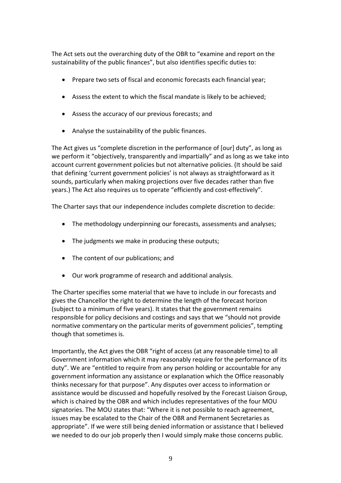The Act sets out the overarching duty of the OBR to "examine and report on the sustainability of the public finances", but also identifies specific duties to:

- Prepare two sets of fiscal and economic forecasts each financial year;
- Assess the extent to which the fiscal mandate is likely to be achieved;
- Assess the accuracy of our previous forecasts; and
- Analyse the sustainability of the public finances.

The Act gives us "complete discretion in the performance of [our] duty", as long as we perform it "objectively, transparently and impartially" and as long as we take into account current government policies but not alternative policies. (It should be said that defining 'current government policies' is not always as straightforward as it sounds, particularly when making projections over five decades rather than five years.) The Act also requires us to operate "efficiently and cost‐effectively".

The Charter says that our independence includes complete discretion to decide:

- The methodology underpinning our forecasts, assessments and analyses;
- The judgments we make in producing these outputs;
- The content of our publications; and
- Our work programme of research and additional analysis.

The Charter specifies some material that we have to include in our forecasts and gives the Chancellor the right to determine the length of the forecast horizon (subject to a minimum of five years). It states that the government remains responsible for policy decisions and costings and says that we "should not provide normative commentary on the particular merits of government policies", tempting though that sometimes is.

Importantly, the Act gives the OBR "right of access (at any reasonable time) to all Government information which it may reasonably require for the performance of its duty". We are "entitled to require from any person holding or accountable for any government information any assistance or explanation which the Office reasonably thinks necessary for that purpose". Any disputes over access to information or assistance would be discussed and hopefully resolved by the Forecast Liaison Group, which is chaired by the OBR and which includes representatives of the four MOU signatories. The MOU states that: "Where it is not possible to reach agreement, issues may be escalated to the Chair of the OBR and Permanent Secretaries as appropriate". If we were still being denied information or assistance that I believed we needed to do our job properly then I would simply make those concerns public.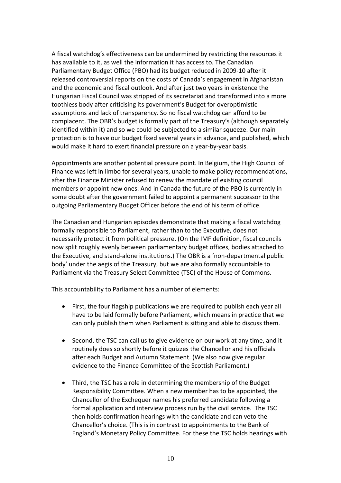A fiscal watchdog's effectiveness can be undermined by restricting the resources it has available to it, as well the information it has access to. The Canadian Parliamentary Budget Office (PBO) had its budget reduced in 2009‐10 after it released controversial reports on the costs of Canada's engagement in Afghanistan and the economic and fiscal outlook. And after just two years in existence the Hungarian Fiscal Council was stripped of its secretariat and transformed into a more toothless body after criticising its government's Budget for overoptimistic assumptions and lack of transparency. So no fiscal watchdog can afford to be complacent. The OBR's budget is formally part of the Treasury's (although separately identified within it) and so we could be subjected to a similar squeeze. Our main protection is to have our budget fixed several years in advance, and published, which would make it hard to exert financial pressure on a year-by-year basis.

Appointments are another potential pressure point. In Belgium, the High Council of Finance was left in limbo for several years, unable to make policy recommendations, after the Finance Minister refused to renew the mandate of existing council members or appoint new ones. And in Canada the future of the PBO is currently in some doubt after the government failed to appoint a permanent successor to the outgoing Parliamentary Budget Officer before the end of his term of office.

The Canadian and Hungarian episodes demonstrate that making a fiscal watchdog formally responsible to Parliament, rather than to the Executive, does not necessarily protect it from political pressure. (On the IMF definition, fiscal councils now split roughly evenly between parliamentary budget offices, bodies attached to the Executive, and stand‐alone institutions.) The OBR is a 'non‐departmental public body' under the aegis of the Treasury, but we are also formally accountable to Parliament via the Treasury Select Committee (TSC) of the House of Commons.

This accountability to Parliament has a number of elements:

- First, the four flagship publications we are required to publish each year all have to be laid formally before Parliament, which means in practice that we can only publish them when Parliament is sitting and able to discuss them.
- Second, the TSC can call us to give evidence on our work at any time, and it routinely does so shortly before it quizzes the Chancellor and his officials after each Budget and Autumn Statement. (We also now give regular evidence to the Finance Committee of the Scottish Parliament.)
- Third, the TSC has a role in determining the membership of the Budget Responsibility Committee. When a new member has to be appointed, the Chancellor of the Exchequer names his preferred candidate following a formal application and interview process run by the civil service. The TSC then holds confirmation hearings with the candidate and can veto the Chancellor's choice. (This is in contrast to appointments to the Bank of England's Monetary Policy Committee. For these the TSC holds hearings with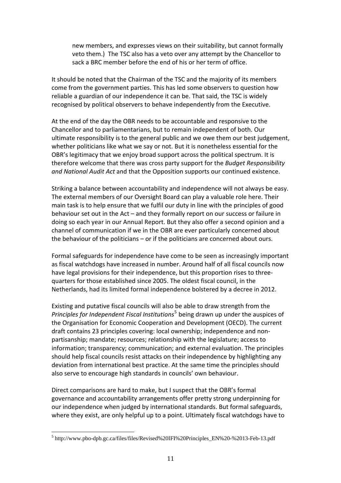new members, and expresses views on their suitability, but cannot formally veto them.) The TSC also has a veto over any attempt by the Chancellor to sack a BRC member before the end of his or her term of office.

It should be noted that the Chairman of the TSC and the majority of its members come from the government parties. This has led some observers to question how reliable a guardian of our independence it can be. That said, the TSC is widely recognised by political observers to behave independently from the Executive.

At the end of the day the OBR needs to be accountable and responsive to the Chancellor and to parliamentarians, but to remain independent of both. Our ultimate responsibility is to the general public and we owe them our best judgement, whether politicians like what we say or not. But it is nonetheless essential for the OBR's legitimacy that we enjoy broad support across the political spectrum. It is therefore welcome that there was cross party support for the *Budget Responsibility and National Audit Act* and that the Opposition supports our continued existence.

Striking a balance between accountability and independence will not always be easy. The external members of our Oversight Board can play a valuable role here. Their main task is to help ensure that we fulfil our duty in line with the principles of good behaviour set out in the Act – and they formally report on our success or failure in doing so each year in our Annual Report. But they also offer a second opinion and a channel of communication if we in the OBR are ever particularly concerned about the behaviour of the politicians – or if the politicians are concerned about ours.

Formal safeguards for independence have come to be seen as increasingly important as fiscal watchdogs have increased in number. Around half of all fiscal councils now have legal provisions for their independence, but this proportion rises to three‐ quarters for those established since 2005. The oldest fiscal council, in the Netherlands, had its limited formal independence bolstered by a decree in 2012.

Existing and putative fiscal councils will also be able to draw strength from the *Principles for Independent Fiscal Institutions*[5](#page-10-0) being drawn up under the auspices of the Organisation for Economic Cooperation and Development (OECD). The current draft contains 23 principles covering: local ownership; independence and non‐ partisanship; mandate; resources; relationship with the legislature; access to information; transparency; communication; and external evaluation. The principles should help fiscal councils resist attacks on their independence by highlighting any deviation from international best practice. At the same time the principles should also serve to encourage high standards in councils' own behaviour.

Direct comparisons are hard to make, but I suspect that the OBR's formal governance and accountability arrangements offer pretty strong underpinning for our independence when judged by international standards. But formal safeguards, where they exist, are only helpful up to a point. Ultimately fiscal watchdogs have to

 $\overline{a}$ 

<span id="page-10-0"></span><sup>&</sup>lt;sup>5</sup> http://www.pbo-dpb.gc.ca/files/files/Revised%20IFI%20Principles\_EN%20-%2013-Feb-13.pdf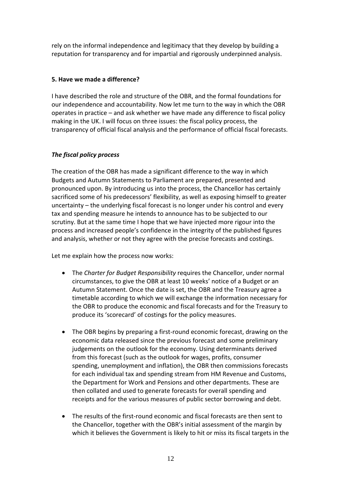rely on the informal independence and legitimacy that they develop by building a reputation for transparency and for impartial and rigorously underpinned analysis.

#### **5. Have we made a difference?**

I have described the role and structure of the OBR, and the formal foundations for our independence and accountability. Now let me turn to the way in which the OBR operates in practice – and ask whether we have made any difference to fiscal policy making in the UK. I will focus on three issues: the fiscal policy process, the transparency of official fiscal analysis and the performance of official fiscal forecasts.

### *The fiscal policy process*

The creation of the OBR has made a significant difference to the way in which Budgets and Autumn Statements to Parliament are prepared, presented and pronounced upon. By introducing us into the process, the Chancellor has certainly sacrificed some of his predecessors' flexibility, as well as exposing himself to greater uncertainty – the underlying fiscal forecast is no longer under his control and every tax and spending measure he intends to announce has to be subjected to our scrutiny. But at the same time I hope that we have injected more rigour into the process and increased people's confidence in the integrity of the published figures and analysis, whether or not they agree with the precise forecasts and costings.

Let me explain how the process now works:

- The *Charter for Budget Responsibility* requires the Chancellor, under normal circumstances, to give the OBR at least 10 weeks' notice of a Budget or an Autumn Statement. Once the date is set, the OBR and the Treasury agree a timetable according to which we will exchange the information necessary for the OBR to produce the economic and fiscal forecasts and for the Treasury to produce its 'scorecard' of costings for the policy measures.
- The OBR begins by preparing a first-round economic forecast, drawing on the economic data released since the previous forecast and some preliminary judgements on the outlook for the economy. Using determinants derived from this forecast (such as the outlook for wages, profits, consumer spending, unemployment and inflation), the OBR then commissions forecasts for each individual tax and spending stream from HM Revenue and Customs, the Department for Work and Pensions and other departments. These are then collated and used to generate forecasts for overall spending and receipts and for the various measures of public sector borrowing and debt.
- The results of the first‐round economic and fiscal forecasts are then sent to the Chancellor, together with the OBR's initial assessment of the margin by which it believes the Government is likely to hit or miss its fiscal targets in the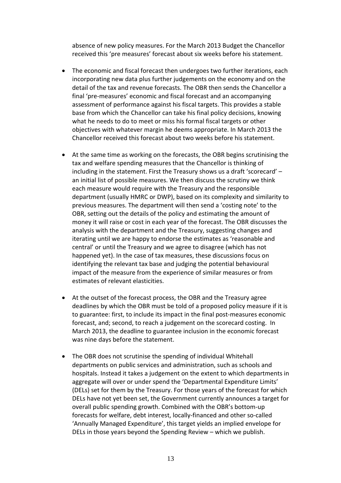absence of new policy measures. For the March 2013 Budget the Chancellor received this 'pre measures' forecast about six weeks before his statement.

- The economic and fiscal forecast then undergoes two further iterations, each incorporating new data plus further judgements on the economy and on the detail of the tax and revenue forecasts. The OBR then sends the Chancellor a final 'pre‐measures' economic and fiscal forecast and an accompanying assessment of performance against his fiscal targets. This provides a stable base from which the Chancellor can take his final policy decisions, knowing what he needs to do to meet or miss his formal fiscal targets or other objectives with whatever margin he deems appropriate. In March 2013 the Chancellor received this forecast about two weeks before his statement.
- At the same time as working on the forecasts, the OBR begins scrutinising the tax and welfare spending measures that the Chancellor is thinking of including in the statement. First the Treasury shows us a draft 'scorecard' – an initial list of possible measures. We then discuss the scrutiny we think each measure would require with the Treasury and the responsible department (usually HMRC or DWP), based on its complexity and similarity to previous measures. The department will then send a 'costing note' to the OBR, setting out the details of the policy and estimating the amount of money it will raise or cost in each year of the forecast. The OBR discusses the analysis with the department and the Treasury, suggesting changes and iterating until we are happy to endorse the estimates as 'reasonable and central' or until the Treasury and we agree to disagree (which has not happened yet). In the case of tax measures, these discussions focus on identifying the relevant tax base and judging the potential behavioural impact of the measure from the experience of similar measures or from estimates of relevant elasticities.
- At the outset of the forecast process, the OBR and the Treasury agree deadlines by which the OBR must be told of a proposed policy measure if it is to guarantee: first, to include its impact in the final post-measures economic forecast, and; second, to reach a judgement on the scorecard costing. In March 2013, the deadline to guarantee inclusion in the economic forecast was nine days before the statement.
- The OBR does not scrutinise the spending of individual Whitehall departments on public services and administration, such as schools and hospitals. Instead it takes a judgement on the extent to which departments in aggregate will over or under spend the 'Departmental Expenditure Limits' (DELs) set for them by the Treasury. For those years of the forecast for which DELs have not yet been set, the Government currently announces a target for overall public spending growth. Combined with the OBR's bottom‐up forecasts for welfare, debt interest, locally‐financed and other so‐called 'Annually Managed Expenditure', this target yields an implied envelope for DELs in those years beyond the Spending Review – which we publish.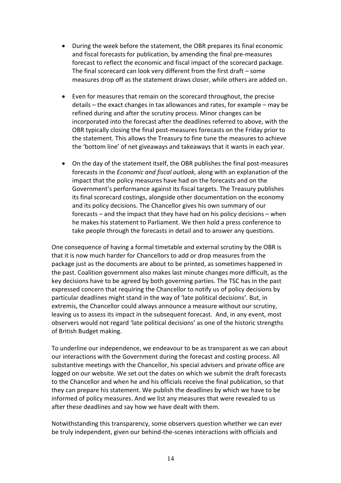- During the week before the statement, the OBR prepares its final economic and fiscal forecasts for publication, by amending the final pre‐measures forecast to reflect the economic and fiscal impact of the scorecard package. The final scorecard can look very different from the first draft – some measures drop off as the statement draws closer, while others are added on.
- Even for measures that remain on the scorecard throughout, the precise details – the exact changes in tax allowances and rates, for example – may be refined during and after the scrutiny process. Minor changes can be incorporated into the forecast after the deadlines referred to above, with the OBR typically closing the final post‐measures forecasts on the Friday prior to the statement. This allows the Treasury to fine tune the measures to achieve the 'bottom line' of net giveaways and takeaways that it wants in each year.
- On the day of the statement itself, the OBR publishes the final post-measures forecasts in the *Economic and fiscal outlook*, along with an explanation of the impact that the policy measures have had on the forecasts and on the Government's performance against its fiscal targets. The Treasury publishes its final scorecard costings, alongside other documentation on the economy and its policy decisions. The Chancellor gives his own summary of our forecasts – and the impact that they have had on his policy decisions – when he makes his statement to Parliament. We then hold a press conference to take people through the forecasts in detail and to answer any questions.

One consequence of having a formal timetable and external scrutiny by the OBR is that it is now much harder for Chancellors to add or drop measures from the package just as the documents are about to be printed, as sometimes happened in the past. Coalition government also makes last minute changes more difficult, as the key decisions have to be agreed by both governing parties. The TSC has in the past expressed concern that requiring the Chancellor to notify us of policy decisions by particular deadlines might stand in the way of 'late political decisions'. But, in extremis, the Chancellor could always announce a measure without our scrutiny, leaving us to assess its impact in the subsequent forecast. And, in any event, most observers would not regard 'late political decisions' as one of the historic strengths of British Budget making.

To underline our independence, we endeavour to be as transparent as we can about our interactions with the Government during the forecast and costing process. All substantive meetings with the Chancellor, his special advisers and private office are logged on our website. We set out the dates on which we submit the draft forecasts to the Chancellor and when he and his officials receive the final publication, so that they can prepare his statement. We publish the deadlines by which we have to be informed of policy measures. And we list any measures that were revealed to us after these deadlines and say how we have dealt with them.

Notwithstanding this transparency, some observers question whether we can ever be truly independent, given our behind-the-scenes interactions with officials and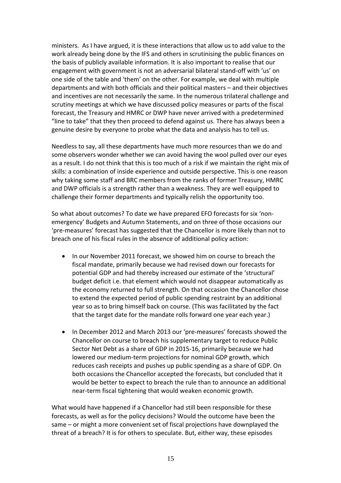ministers. As I have argued, it is these interactions that allow us to add value to the work already being done by the IFS and others in scrutinising the public finances on the basis of publicly available information. It is also important to realise that our engagement with government is not an adversarial bilateral stand‐off with 'us' on one side of the table and 'them' on the other. For example, we deal with multiple departments and with both officials and their political masters – and their objectives and incentives are not necessarily the same. In the numerous trilateral challenge and scrutiny meetings at which we have discussed policy measures or parts of the fiscal forecast, the Treasury and HMRC or DWP have never arrived with a predetermined "line to take" that they then proceed to defend against us. There has always been a genuine desire by everyone to probe what the data and analysis has to tell us.

Needless to say, all these departments have much more resources than we do and some observers wonder whether we can avoid having the wool pulled over our eyes as a result. I do not think that this is too much of a risk if we maintain the right mix of skills: a combination of inside experience and outside perspective. This is one reason why taking some staff and BRC members from the ranks of former Treasury, HMRC and DWP officials is a strength rather than a weakness. They are well equipped to challenge their former departments and typically relish the opportunity too.

So what about outcomes? To date we have prepared EFO forecasts for six 'non‐ emergency' Budgets and Autumn Statements, and on three of those occasions our 'pre‐measures' forecast has suggested that the Chancellor is more likely than not to breach one of his fiscal rules in the absence of additional policy action:

- In our November 2011 forecast, we showed him on course to breach the fiscal mandate, primarily because we had revised down our forecasts for potential GDP and had thereby increased our estimate of the 'structural' budget deficit i.e. that element which would not disappear automatically as the economy returned to full strength. On that occasion the Chancellor chose to extend the expected period of public spending restraint by an additional year so as to bring himself back on course. (This was facilitated by the fact that the target date for the mandate rolls forward one year each year.)
- In December 2012 and March 2013 our 'pre‐measures' forecasts showed the Chancellor on course to breach his supplementary target to reduce Public Sector Net Debt as a share of GDP in 2015‐16, primarily because we had lowered our medium‐term projections for nominal GDP growth, which reduces cash receipts and pushes up public spending as a share of GDP. On both occasions the Chancellor accepted the forecasts, but concluded that it would be better to expect to breach the rule than to announce an additional near‐term fiscal tightening that would weaken economic growth.

What would have happened if a Chancellor had still been responsible for these forecasts, as well as for the policy decisions? Would the outcome have been the same – or might a more convenient set of fiscal projections have downplayed the threat of a breach? It is for others to speculate. But, either way, these episodes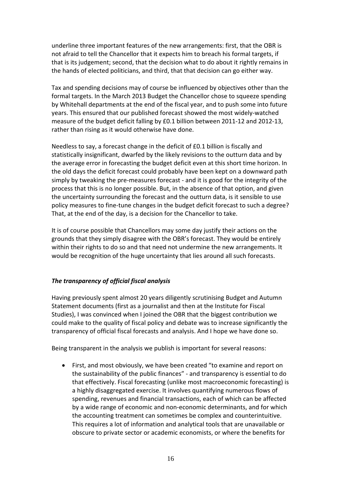underline three important features of the new arrangements: first, that the OBR is not afraid to tell the Chancellor that it expects him to breach his formal targets, if that is its judgement; second, that the decision what to do about it rightly remains in the hands of elected politicians, and third, that that decision can go either way.

Tax and spending decisions may of course be influenced by objectives other than the formal targets. In the March 2013 Budget the Chancellor chose to squeeze spending by Whitehall departments at the end of the fiscal year, and to push some into future years. This ensured that our published forecast showed the most widely‐watched measure of the budget deficit falling by £0.1 billion between 2011‐12 and 2012‐13, rather than rising as it would otherwise have done.

Needless to say, a forecast change in the deficit of £0.1 billion is fiscally and statistically insignificant, dwarfed by the likely revisions to the outturn data and by the average error in forecasting the budget deficit even at this short time horizon. In the old days the deficit forecast could probably have been kept on a downward path simply by tweaking the pre‐measures forecast ‐ and it is good for the integrity of the process that this is no longer possible. But, in the absence of that option, and given the uncertainty surrounding the forecast and the outturn data, is it sensible to use policy measures to fine‐tune changes in the budget deficit forecast to such a degree? That, at the end of the day, is a decision for the Chancellor to take.

It is of course possible that Chancellors may some day justify their actions on the grounds that they simply disagree with the OBR's forecast. They would be entirely within their rights to do so and that need not undermine the new arrangements. It would be recognition of the huge uncertainty that lies around all such forecasts.

### *The transparency of official fiscal analysis*

Having previously spent almost 20 years diligently scrutinising Budget and Autumn Statement documents (first as a journalist and then at the Institute for Fiscal Studies), I was convinced when I joined the OBR that the biggest contribution we could make to the quality of fiscal policy and debate was to increase significantly the transparency of official fiscal forecasts and analysis. And I hope we have done so.

Being transparent in the analysis we publish is important for several reasons:

 First, and most obviously, we have been created "to examine and report on the sustainability of the public finances" ‐ and transparency is essential to do that effectively. Fiscal forecasting (unlike most macroeconomic forecasting) is a highly disaggregated exercise. It involves quantifying numerous flows of spending, revenues and financial transactions, each of which can be affected by a wide range of economic and non‐economic determinants, and for which the accounting treatment can sometimes be complex and counterintuitive. This requires a lot of information and analytical tools that are unavailable or obscure to private sector or academic economists, or where the benefits for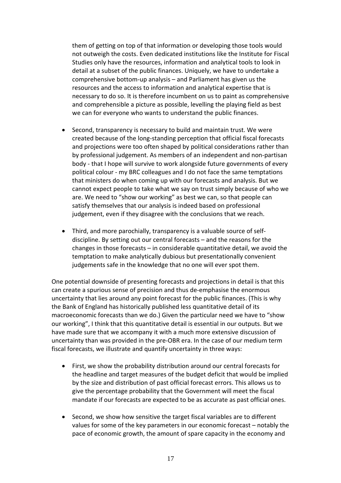them of getting on top of that information or developing those tools would not outweigh the costs. Even dedicated institutions like the Institute for Fiscal Studies only have the resources, information and analytical tools to look in detail at a subset of the public finances. Uniquely, we have to undertake a comprehensive bottom‐up analysis – and Parliament has given us the resources and the access to information and analytical expertise that is necessary to do so. It is therefore incumbent on us to paint as comprehensive and comprehensible a picture as possible, levelling the playing field as best we can for everyone who wants to understand the public finances.

- Second, transparency is necessary to build and maintain trust. We were created because of the long‐standing perception that official fiscal forecasts and projections were too often shaped by political considerations rather than by professional judgement. As members of an independent and non‐partisan body ‐ that I hope will survive to work alongside future governments of every political colour ‐ my BRC colleagues and I do not face the same temptations that ministers do when coming up with our forecasts and analysis. But we cannot expect people to take what we say on trust simply because of who we are. We need to "show our working" as best we can, so that people can satisfy themselves that our analysis is indeed based on professional judgement, even if they disagree with the conclusions that we reach.
- Third, and more parochially, transparency is a valuable source of self‐ discipline. By setting out our central forecasts – and the reasons for the changes in those forecasts – in considerable quantitative detail, we avoid the temptation to make analytically dubious but presentationally convenient judgements safe in the knowledge that no one will ever spot them.

One potential downside of presenting forecasts and projections in detail is that this can create a spurious sense of precision and thus de‐emphasise the enormous uncertainty that lies around any point forecast for the public finances. (This is why the Bank of England has historically published less quantitative detail of its macroeconomic forecasts than we do.) Given the particular need we have to "show our working", I think that this quantitative detail is essential in our outputs. But we have made sure that we accompany it with a much more extensive discussion of uncertainty than was provided in the pre‐OBR era. In the case of our medium term fiscal forecasts, we illustrate and quantify uncertainty in three ways:

- First, we show the probability distribution around our central forecasts for the headline and target measures of the budget deficit that would be implied by the size and distribution of past official forecast errors. This allows us to give the percentage probability that the Government will meet the fiscal mandate if our forecasts are expected to be as accurate as past official ones.
- Second, we show how sensitive the target fiscal variables are to different values for some of the key parameters in our economic forecast – notably the pace of economic growth, the amount of spare capacity in the economy and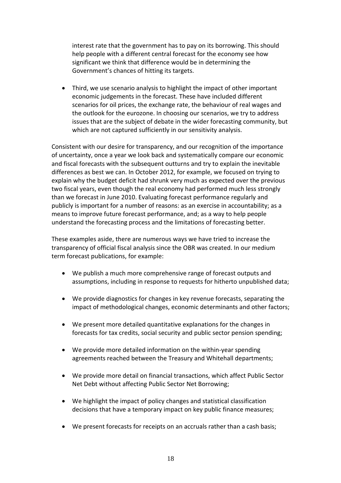interest rate that the government has to pay on its borrowing. This should help people with a different central forecast for the economy see how significant we think that difference would be in determining the Government's chances of hitting its targets.

 Third, we use scenario analysis to highlight the impact of other important economic judgements in the forecast. These have included different scenarios for oil prices, the exchange rate, the behaviour of real wages and the outlook for the eurozone. In choosing our scenarios, we try to address issues that are the subject of debate in the wider forecasting community, but which are not captured sufficiently in our sensitivity analysis.

Consistent with our desire for transparency, and our recognition of the importance of uncertainty, once a year we look back and systematically compare our economic and fiscal forecasts with the subsequent outturns and try to explain the inevitable differences as best we can. In October 2012, for example, we focused on trying to explain why the budget deficit had shrunk very much as expected over the previous two fiscal years, even though the real economy had performed much less strongly than we forecast in June 2010. Evaluating forecast performance regularly and publicly is important for a number of reasons: as an exercise in accountability; as a means to improve future forecast performance, and; as a way to help people understand the forecasting process and the limitations of forecasting better.

These examples aside, there are numerous ways we have tried to increase the transparency of official fiscal analysis since the OBR was created. In our medium term forecast publications, for example:

- We publish a much more comprehensive range of forecast outputs and assumptions, including in response to requests for hitherto unpublished data;
- We provide diagnostics for changes in key revenue forecasts, separating the impact of methodological changes, economic determinants and other factors;
- We present more detailed quantitative explanations for the changes in forecasts for tax credits, social security and public sector pension spending;
- We provide more detailed information on the within-year spending agreements reached between the Treasury and Whitehall departments;
- We provide more detail on financial transactions, which affect Public Sector Net Debt without affecting Public Sector Net Borrowing;
- We highlight the impact of policy changes and statistical classification decisions that have a temporary impact on key public finance measures;
- We present forecasts for receipts on an accruals rather than a cash basis;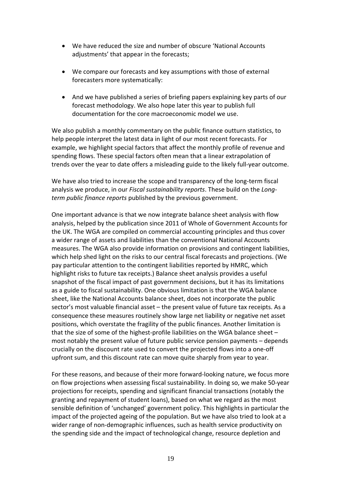- We have reduced the size and number of obscure 'National Accounts adjustments' that appear in the forecasts;
- We compare our forecasts and key assumptions with those of external forecasters more systematically:
- And we have published a series of briefing papers explaining key parts of our forecast methodology. We also hope later this year to publish full documentation for the core macroeconomic model we use.

We also publish a monthly commentary on the public finance outturn statistics, to help people interpret the latest data in light of our most recent forecasts. For example, we highlight special factors that affect the monthly profile of revenue and spending flows. These special factors often mean that a linear extrapolation of trends over the year to date offers a misleading guide to the likely full‐year outcome.

We have also tried to increase the scope and transparency of the long-term fiscal analysis we produce, in our *Fiscal sustainability reports*. These build on the *Long‐ term public finance reports* published by the previous government.

One important advance is that we now integrate balance sheet analysis with flow analysis, helped by the publication since 2011 of Whole of Government Accounts for the UK. The WGA are compiled on commercial accounting principles and thus cover a wider range of assets and liabilities than the conventional National Accounts measures. The WGA also provide information on provisions and contingent liabilities, which help shed light on the risks to our central fiscal forecasts and projections. (We pay particular attention to the contingent liabilities reported by HMRC, which highlight risks to future tax receipts.) Balance sheet analysis provides a useful snapshot of the fiscal impact of past government decisions, but it has its limitations as a guide to fiscal sustainability. One obvious limitation is that the WGA balance sheet, like the National Accounts balance sheet, does not incorporate the public sector's most valuable financial asset – the present value of future tax receipts. As a consequence these measures routinely show large net liability or negative net asset positions, which overstate the fragility of the public finances. Another limitation is that the size of some of the highest‐profile liabilities on the WGA balance sheet – most notably the present value of future public service pension payments – depends crucially on the discount rate used to convert the projected flows into a one‐off upfront sum, and this discount rate can move quite sharply from year to year.

For these reasons, and because of their more forward‐looking nature, we focus more on flow projections when assessing fiscal sustainability. In doing so, we make 50‐year projections for receipts, spending and significant financial transactions (notably the granting and repayment of student loans), based on what we regard as the most sensible definition of 'unchanged' government policy. This highlights in particular the impact of the projected ageing of the population. But we have also tried to look at a wider range of non-demographic influences, such as health service productivity on the spending side and the impact of technological change, resource depletion and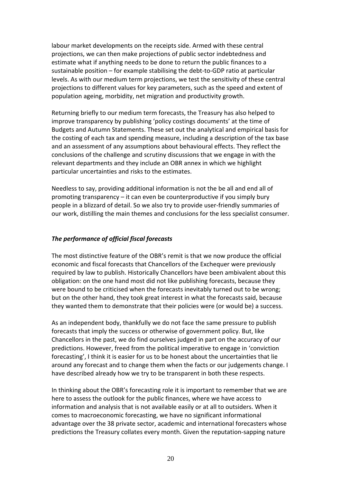labour market developments on the receipts side. Armed with these central projections, we can then make projections of public sector indebtedness and estimate what if anything needs to be done to return the public finances to a sustainable position – for example stabilising the debt‐to‐GDP ratio at particular levels. As with our medium term projections, we test the sensitivity of these central projections to different values for key parameters, such as the speed and extent of population ageing, morbidity, net migration and productivity growth.

Returning briefly to our medium term forecasts, the Treasury has also helped to improve transparency by publishing 'policy costings documents' at the time of Budgets and Autumn Statements. These set out the analytical and empirical basis for the costing of each tax and spending measure, including a description of the tax base and an assessment of any assumptions about behavioural effects. They reflect the conclusions of the challenge and scrutiny discussions that we engage in with the relevant departments and they include an OBR annex in which we highlight particular uncertainties and risks to the estimates.

Needless to say, providing additional information is not the be all and end all of promoting transparency – it can even be counterproductive if you simply bury people in a blizzard of detail. So we also try to provide user‐friendly summaries of our work, distilling the main themes and conclusions for the less specialist consumer.

#### *The performance of official fiscal forecasts*

The most distinctive feature of the OBR's remit is that we now produce the official economic and fiscal forecasts that Chancellors of the Exchequer were previously required by law to publish. Historically Chancellors have been ambivalent about this obligation: on the one hand most did not like publishing forecasts, because they were bound to be criticised when the forecasts inevitably turned out to be wrong; but on the other hand, they took great interest in what the forecasts said, because they wanted them to demonstrate that their policies were (or would be) a success.

As an independent body, thankfully we do not face the same pressure to publish forecasts that imply the success or otherwise of government policy. But, like Chancellors in the past, we do find ourselves judged in part on the accuracy of our predictions. However, freed from the political imperative to engage in 'conviction forecasting', I think it is easier for us to be honest about the uncertainties that lie around any forecast and to change them when the facts or our judgements change. I have described already how we try to be transparent in both these respects.

In thinking about the OBR's forecasting role it is important to remember that we are here to assess the outlook for the public finances, where we have access to information and analysis that is not available easily or at all to outsiders. When it comes to macroeconomic forecasting, we have no significant informational advantage over the 38 private sector, academic and international forecasters whose predictions the Treasury collates every month. Given the reputation‐sapping nature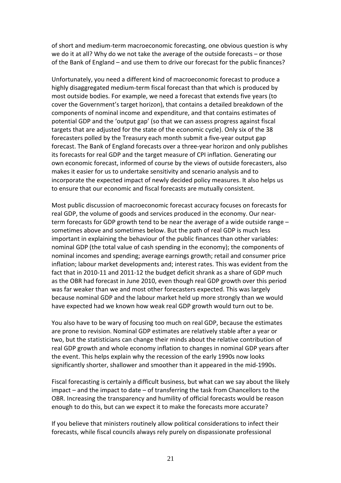of short and medium‐term macroeconomic forecasting, one obvious question is why we do it at all? Why do we not take the average of the outside forecasts – or those of the Bank of England – and use them to drive our forecast for the public finances?

Unfortunately, you need a different kind of macroeconomic forecast to produce a highly disaggregated medium‐term fiscal forecast than that which is produced by most outside bodies. For example, we need a forecast that extends five years (to cover the Government's target horizon), that contains a detailed breakdown of the components of nominal income and expenditure, and that contains estimates of potential GDP and the 'output gap' (so that we can assess progress against fiscal targets that are adjusted for the state of the economic cycle). Only six of the 38 forecasters polled by the Treasury each month submit a five‐year output gap forecast. The Bank of England forecasts over a three‐year horizon and only publishes its forecasts for real GDP and the target measure of CPI inflation. Generating our own economic forecast, informed of course by the views of outside forecasters, also makes it easier for us to undertake sensitivity and scenario analysis and to incorporate the expected impact of newly decided policy measures. It also helps us to ensure that our economic and fiscal forecasts are mutually consistent.

Most public discussion of macroeconomic forecast accuracy focuses on forecasts for real GDP, the volume of goods and services produced in the economy. Our near‐ term forecasts for GDP growth tend to be near the average of a wide outside range – sometimes above and sometimes below. But the path of real GDP is much less important in explaining the behaviour of the public finances than other variables: nominal GDP (the total value of cash spending in the economy); the components of nominal incomes and spending; average earnings growth; retail and consumer price inflation; labour market developments and; interest rates. This was evident from the fact that in 2010‐11 and 2011‐12 the budget deficit shrank as a share of GDP much as the OBR had forecast in June 2010, even though real GDP growth over this period was far weaker than we and most other forecasters expected. This was largely because nominal GDP and the labour market held up more strongly than we would have expected had we known how weak real GDP growth would turn out to be.

You also have to be wary of focusing too much on real GDP, because the estimates are prone to revision. Nominal GDP estimates are relatively stable after a year or two, but the statisticians can change their minds about the relative contribution of real GDP growth and whole economy inflation to changes in nominal GDP years after the event. This helps explain why the recession of the early 1990s now looks significantly shorter, shallower and smoother than it appeared in the mid‐1990s.

Fiscal forecasting is certainly a difficult business, but what can we say about the likely impact – and the impact to date – of transferring the task from Chancellors to the OBR. Increasing the transparency and humility of official forecasts would be reason enough to do this, but can we expect it to make the forecasts more accurate?

If you believe that ministers routinely allow political considerations to infect their forecasts, while fiscal councils always rely purely on dispassionate professional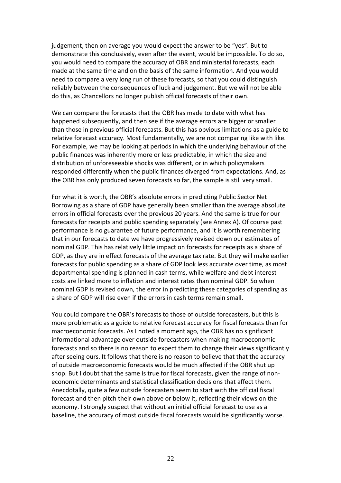judgement, then on average you would expect the answer to be "yes". But to demonstrate this conclusively, even after the event, would be impossible. To do so, you would need to compare the accuracy of OBR and ministerial forecasts, each made at the same time and on the basis of the same information. And you would need to compare a very long run of these forecasts, so that you could distinguish reliably between the consequences of luck and judgement. But we will not be able do this, as Chancellors no longer publish official forecasts of their own.

We can compare the forecasts that the OBR has made to date with what has happened subsequently, and then see if the average errors are bigger or smaller than those in previous official forecasts. But this has obvious limitations as a guide to relative forecast accuracy. Most fundamentally, we are not comparing like with like. For example, we may be looking at periods in which the underlying behaviour of the public finances was inherently more or less predictable, in which the size and distribution of unforeseeable shocks was different, or in which policymakers responded differently when the public finances diverged from expectations. And, as the OBR has only produced seven forecasts so far, the sample is still very small.

For what it is worth, the OBR's absolute errors in predicting Public Sector Net Borrowing as a share of GDP have generally been smaller than the average absolute errors in official forecasts over the previous 20 years. And the same is true for our forecasts for receipts and public spending separately (see Annex A). Of course past performance is no guarantee of future performance, and it is worth remembering that in our forecasts to date we have progressively revised down our estimates of nominal GDP. This has relatively little impact on forecasts for receipts as a share of GDP, as they are in effect forecasts of the average tax rate. But they will make earlier forecasts for public spending as a share of GDP look less accurate over time, as most departmental spending is planned in cash terms, while welfare and debt interest costs are linked more to inflation and interest rates than nominal GDP. So when nominal GDP is revised down, the error in predicting these categories of spending as a share of GDP will rise even if the errors in cash terms remain small.

You could compare the OBR's forecasts to those of outside forecasters, but this is more problematic as a guide to relative forecast accuracy for fiscal forecasts than for macroeconomic forecasts. As I noted a moment ago, the OBR has no significant informational advantage over outside forecasters when making macroeconomic forecasts and so there is no reason to expect them to change their views significantly after seeing ours. It follows that there is no reason to believe that that the accuracy of outside macroeconomic forecasts would be much affected if the OBR shut up shop. But I doubt that the same is true for fiscal forecasts, given the range of non‐ economic determinants and statistical classification decisions that affect them. Anecdotally, quite a few outside forecasters seem to start with the official fiscal forecast and then pitch their own above or below it, reflecting their views on the economy. I strongly suspect that without an initial official forecast to use as a baseline, the accuracy of most outside fiscal forecasts would be significantly worse.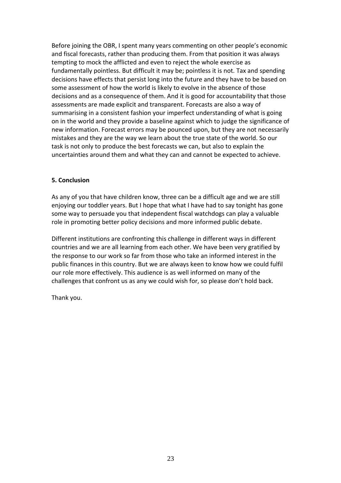Before joining the OBR, I spent many years commenting on other people's economic and fiscal forecasts, rather than producing them. From that position it was always tempting to mock the afflicted and even to reject the whole exercise as fundamentally pointless. But difficult it may be; pointless it is not. Tax and spending decisions have effects that persist long into the future and they have to be based on some assessment of how the world is likely to evolve in the absence of those decisions and as a consequence of them. And it is good for accountability that those assessments are made explicit and transparent. Forecasts are also a way of summarising in a consistent fashion your imperfect understanding of what is going on in the world and they provide a baseline against which to judge the significance of new information. Forecast errors may be pounced upon, but they are not necessarily mistakes and they are the way we learn about the true state of the world. So our task is not only to produce the best forecasts we can, but also to explain the uncertainties around them and what they can and cannot be expected to achieve.

#### **5. Conclusion**

As any of you that have children know, three can be a difficult age and we are still enjoying our toddler years. But I hope that what I have had to say tonight has gone some way to persuade you that independent fiscal watchdogs can play a valuable role in promoting better policy decisions and more informed public debate.

Different institutions are confronting this challenge in different ways in different countries and we are all learning from each other. We have been very gratified by the response to our work so far from those who take an informed interest in the public finances in this country. But we are always keen to know how we could fulfil our role more effectively. This audience is as well informed on many of the challenges that confront us as any we could wish for, so please don't hold back.

Thank you.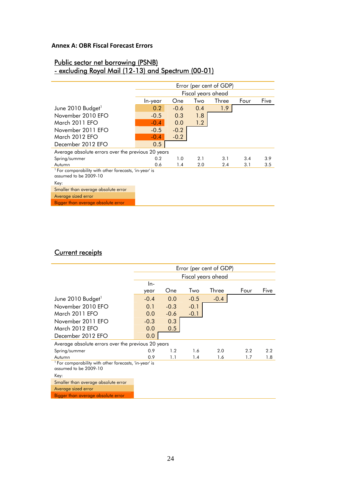#### **Annex A: OBR Fiscal Forecast Errors**

#### Public sector net borrowing (PSNB) - excluding Royal Mail (12-13) and Spectrum (00-01)

|                                                                               | Error (per cent of GDP) |        |     |       |      |      |  |
|-------------------------------------------------------------------------------|-------------------------|--------|-----|-------|------|------|--|
|                                                                               | Fiscal years ahead      |        |     |       |      |      |  |
|                                                                               | In-year                 | One    | Two | Three | Four | Five |  |
| June 2010 Budget <sup>1</sup>                                                 | 0.2                     | $-0.6$ | 0.4 | 1.9   |      |      |  |
| November 2010 FFO                                                             | $-0.5$                  | 0.3    | 1.8 |       |      |      |  |
| March 2011 EFO                                                                | $-0.4$                  | 0.0    | 1.2 |       |      |      |  |
| November 2011 EFO                                                             | $-0.5$                  | $-0.2$ |     |       |      |      |  |
| March 2012 EFO                                                                | $-0.4$                  | $-0.2$ |     |       |      |      |  |
| December 2012 EFO                                                             | 0.5                     |        |     |       |      |      |  |
| Average absolute errors over the previous 20 years                            |                         |        |     |       |      |      |  |
| Spring/summer                                                                 | 0.2                     | 1.0    | 2.1 | 3.1   | 3.4  | 3.9  |  |
| Autumn                                                                        | 0.6                     | 1.4    | 2.0 | 2.4   | 3.1  | 3.5  |  |
| For comparability with other forecasts, 'in-year' is<br>assumed to be 2009-10 |                         |        |     |       |      |      |  |
| Key:                                                                          |                         |        |     |       |      |      |  |
| Smaller than average absolute error                                           |                         |        |     |       |      |      |  |
| Average sized error                                                           |                         |        |     |       |      |      |  |
| Bigger than average absolute error                                            |                         |        |     |       |      |      |  |

# **Current receipts**

|                                                                                            | Error (per cent of GDP) |        |        |        |      |      |  |  |
|--------------------------------------------------------------------------------------------|-------------------------|--------|--------|--------|------|------|--|--|
|                                                                                            | Fiscal years ahead      |        |        |        |      |      |  |  |
|                                                                                            | ln-                     |        |        |        |      |      |  |  |
|                                                                                            | year                    | One    | Two    | Three  | Four | Five |  |  |
| June 2010 Budget <sup>1</sup>                                                              | $-0.4$                  | 0.0    | $-0.5$ | $-0.4$ |      |      |  |  |
| November 2010 FFO                                                                          | 0.1                     | $-0.3$ | $-0.1$ |        |      |      |  |  |
| March 2011 EFO                                                                             | 0.0                     | $-0.6$ | $-0.1$ |        |      |      |  |  |
| November 2011 EFO                                                                          | $-0.3$                  | 0.3    |        |        |      |      |  |  |
| March 2012 EFO                                                                             | 0.0                     | 0.5    |        |        |      |      |  |  |
| December 2012 EFO                                                                          | 0.0                     |        |        |        |      |      |  |  |
| Average absolute errors over the previous 20 years                                         |                         |        |        |        |      |      |  |  |
| Spring/summer                                                                              | 0.9                     | 1.2    | 1.6    | 2.0    | 2.2  | 2.2  |  |  |
| Autumn                                                                                     | 0.9                     | 1.1    | 1.4    | 1.6    | 1.7  | 1.8  |  |  |
| <sup>1</sup> For comparability with other forecasts, 'in-year' is<br>assumed to be 2009-10 |                         |        |        |        |      |      |  |  |
| Key:                                                                                       |                         |        |        |        |      |      |  |  |
| Smaller than average absolute error                                                        |                         |        |        |        |      |      |  |  |
| Average sized error                                                                        |                         |        |        |        |      |      |  |  |
| Bigger than average absolute error                                                         |                         |        |        |        |      |      |  |  |